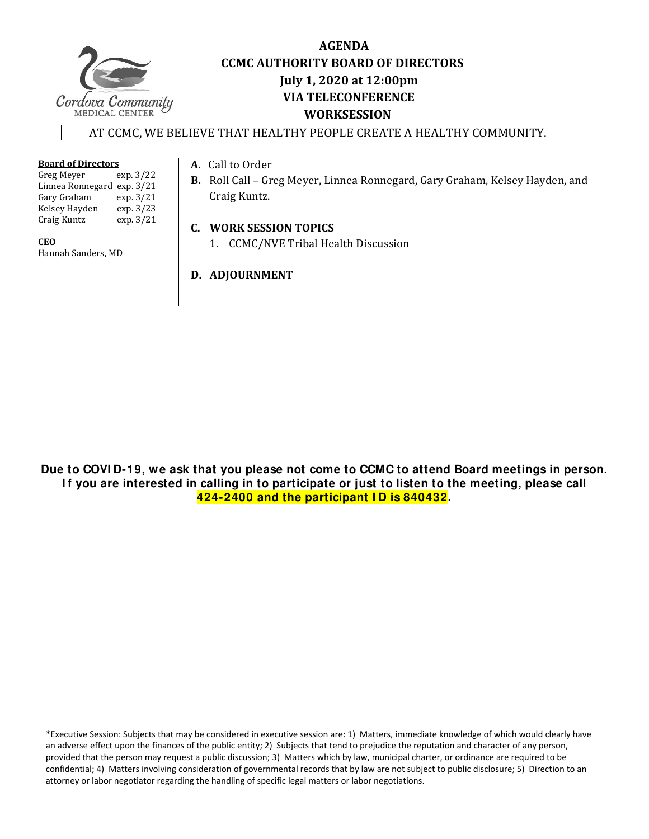

# **AGENDA CCMC AUTHORITY BOARD OF DIRECTORS Iuly 1, 2020** at **12:00pm VIA TELECONFERENCE WORKSESSION**

### AT CCMC, WE BELIEVE THAT HEALTHY PEOPLE CREATE A HEALTHY COMMUNITY.

#### **Board of Directors**

| Greg Meyer                 | exp. 3/22 |
|----------------------------|-----------|
| Linnea Ronnegard exp. 3/21 |           |
| Gary Graham                | exp.3/21  |
| Kelsey Hayden              | exp. 3/23 |
| Craig Kuntz                | exp.3/21  |

#### **CEO**

Hannah Sanders, MD 

### A. Call to Order

**B.** Roll Call - Greg Meyer, Linnea Ronnegard, Gary Graham, Kelsey Hayden, and Craig Kuntz.

## **C. WORK SESSION TOPICS**

1. CCMC/NVE Tribal Health Discussion

# **D. ADJOURNMENT**

**Due to COVI D-19, we ask that you please not come to CCMC to attend Board meetings in person.**  If you are interested in calling in to participate or just to listen to the meeting, please call **424-2400 and the participant I D is 840432.** 

\*Executive Session: Subjects that may be considered in executive session are: 1) Matters, immediate knowledge of which would clearly have an adverse effect upon the finances of the public entity; 2) Subjects that tend to prejudice the reputation and character of any person, provided that the person may request a public discussion; 3) Matters which by law, municipal charter, or ordinance are required to be confidential; 4) Matters involving consideration of governmental records that by law are not subject to public disclosure; 5) Direction to an attorney or labor negotiator regarding the handling of specific legal matters or labor negotiations.